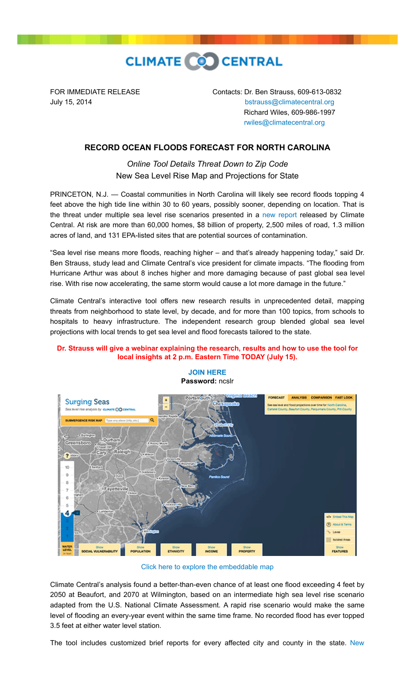

FOR IMMEDIATE RELEASE Contacts: Dr. Ben Strauss, 609-613-0832 July 15, 2014 [bstrauss@climatecentral.org](mailto:bstrauss@climatecentral.org) Richard Wiles, 609-986-1997 [rwiles@climatecentral.org](mailto:rwiles@climatecentral.org)

## **RECORD OCEAN FLOODS FORECAST FOR NORTH CAROLINA**

*Online Tool Details Threat Down to Zip Code* New Sea Level Rise Map and Projections for State

PRINCETON, N.J. — Coastal communities in North Carolina will likely see record floods topping 4 feet above the high tide line within 30 to 60 years, possibly sooner, depending on location. That is the threat under multiple sea level rise scenarios presented in a [new report](http://sealevel.climatecentral.org/uploads/ssrf/NC-Report.pdf) released by Climate Central. At risk are more than 60,000 homes, \$8 billion of property, 2,500 miles of road, 1.3 million acres of land, and 131 EPA-listed sites that are potential sources of contamination.

"Sea level rise means more floods, reaching higher – and that's already happening today," said Dr. Ben Strauss, study lead and Climate Central's vice president for climate impacts. "The flooding from Hurricane Arthur was about 8 inches higher and more damaging because of past global sea level rise. With rise now accelerating, the same storm would cause a lot more damage in the future."

Climate Central's interactive tool offers new research results in unprecedented detail, mapping threats from neighborhood to state level, by decade, and for more than 100 topics, from schools to hospitals to heavy infrastructure. The independent research group blended global sea level projections with local trends to get sea level and flood forecasts tailored to the state.

## **Dr. Strauss will give a webinar explaining the research, results and how to use the tool for local insights at 2 p.m. Eastern Time TODAY (July 15).**

**[JOIN HERE](https://meetings.webex.com/collabs/meetings/join?uuid=MBRV086GOI7ZV33VTYIMN11OXA-7IMF&epwd=7e12c45100581f0d01)**



[Click here to explore the embeddable map](http://ss2.climatecentral.org/#9/34.7845/-77.2833?show=satellite&level=4&pois=hide)

Climate Central's analysis found a better-than-even chance of at least one flood exceeding 4 feet by 2050 at Beaufort, and 2070 at Wilmington, based on an intermediate high sea level rise scenario adapted from the U.S. National Climate Assessment. A rapid rise scenario would make the same level of flooding an every-year event within the same time frame. No recorded flood has ever topped 3.5 feet at either water level station.

[The tool includes customized brief reports for every affected city and county in the state. New](http://ssrf.climatecentral.org.s3-website-us-east-1.amazonaws.com/Buffer2/states/NC/downloads/pdf_reports/County/NC_New_Hanover_County-report.pdf)